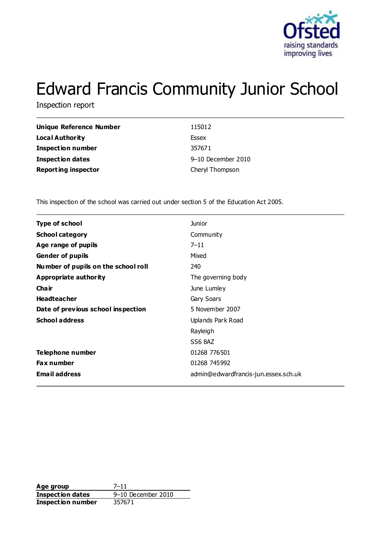

# Edward Francis Community Junior School

Inspection report

| Unique Reference Number    | 115012             |
|----------------------------|--------------------|
| Local Authority            | Essex              |
| Inspection number          | 357671             |
| Inspection dates           | 9-10 December 2010 |
| <b>Reporting inspector</b> | Cheryl Thompson    |

This inspection of the school was carried out under section 5 of the Education Act 2005.

| <b>Type of school</b>               | Junior                               |
|-------------------------------------|--------------------------------------|
| <b>School category</b>              | Community                            |
| Age range of pupils                 | $7 - 11$                             |
| <b>Gender of pupils</b>             | Mixed                                |
| Number of pupils on the school roll | 240                                  |
| Appropriate authority               | The governing body                   |
| Cha ir                              | June Lumley                          |
| <b>Headteacher</b>                  | Gary Soars                           |
| Date of previous school inspection  | 5 November 2007                      |
| <b>School address</b>               | Uplands Park Road                    |
|                                     | Rayleigh                             |
|                                     | SS6 8AZ                              |
| Telephone number                    | 01268 776501                         |
| Fax number                          | 01268 745992                         |
| <b>Email address</b>                | admin@edwardfrancis-jun.essex.sch.uk |
|                                     |                                      |

Age group 7–11 **Inspection dates** 9-10 December 2010<br>**Inspection number** 357671 **Inspection number**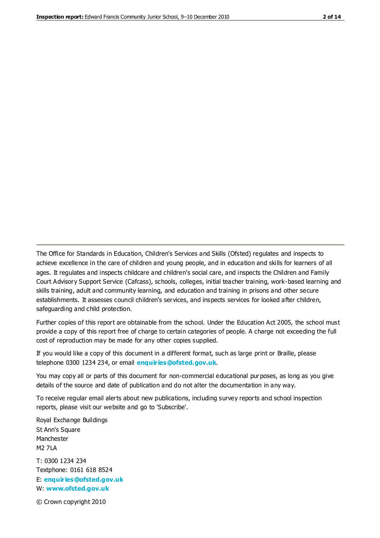The Office for Standards in Education, Children's Services and Skills (Ofsted) regulates and inspects to achieve excellence in the care of children and young people, and in education and skills for learners of all ages. It regulates and inspects childcare and children's social care, and inspects the Children and Family Court Advisory Support Service (Cafcass), schools, colleges, initial teacher training, work-based learning and skills training, adult and community learning, and education and training in prisons and other secure establishments. It assesses council children's services, and inspects services for looked after children, safeguarding and child protection.

Further copies of this report are obtainable from the school. Under the Education Act 2005, the school must provide a copy of this report free of charge to certain categories of people. A charge not exceeding the full cost of reproduction may be made for any other copies supplied.

If you would like a copy of this document in a different format, such as large print or Braille, please telephone 0300 1234 234, or email **[enquiries@ofsted.gov.uk](mailto:enquiries@ofsted.gov.uk)**.

You may copy all or parts of this document for non-commercial educational purposes, as long as you give details of the source and date of publication and do not alter the documentation in any way.

To receive regular email alerts about new publications, including survey reports and school inspection reports, please visit our website and go to 'Subscribe'.

Royal Exchange Buildings St Ann's Square Manchester M2 7LA T: 0300 1234 234 Textphone: 0161 618 8524 E: **[enquiries@ofsted.gov.uk](mailto:enquiries@ofsted.gov.uk)**

W: **[www.ofsted.gov.uk](http://www.ofsted.gov.uk/)**

© Crown copyright 2010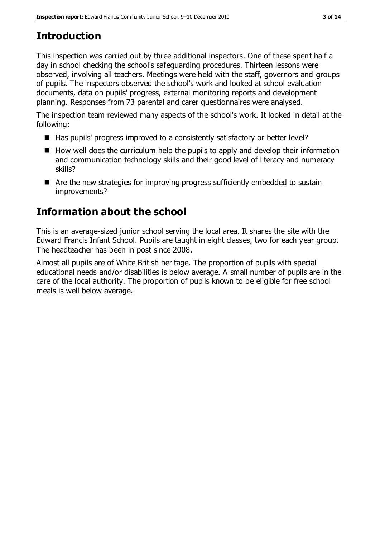# **Introduction**

This inspection was carried out by three additional inspectors. One of these spent half a day in school checking the school's safeguarding procedures. Thirteen lessons were observed, involving all teachers. Meetings were held with the staff, governors and groups of pupils. The inspectors observed the school's work and looked at school evaluation documents, data on pupils' progress, external monitoring reports and development planning. Responses from 73 parental and carer questionnaires were analysed.

The inspection team reviewed many aspects of the school's work. It looked in detail at the following:

- Has pupils' progress improved to a consistently satisfactory or better level?
- $\blacksquare$  How well does the curriculum help the pupils to apply and develop their information and communication technology skills and their good level of literacy and numeracy skills?
- Are the new strategies for improving progress sufficiently embedded to sustain improvements?

# **Information about the school**

This is an average-sized junior school serving the local area. It shares the site with the Edward Francis Infant School. Pupils are taught in eight classes, two for each year group. The headteacher has been in post since 2008.

Almost all pupils are of White British heritage. The proportion of pupils with special educational needs and/or disabilities is below average. A small number of pupils are in the care of the local authority. The proportion of pupils known to be eligible for free school meals is well below average.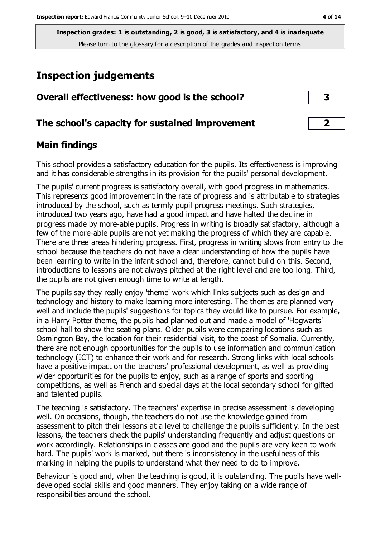# **Inspection judgements**

| Overall effectiveness: how good is the school?  |  |
|-------------------------------------------------|--|
| The school's capacity for sustained improvement |  |

### **Main findings**

This school provides a satisfactory education for the pupils. Its effectiveness is improving and it has considerable strengths in its provision for the pupils' personal development.

The pupils' current progress is satisfactory overall, with good progress in mathematics. This represents good improvement in the rate of progress and is attributable to strategies introduced by the school, such as termly pupil progress meetings. Such strategies, introduced two years ago, have had a good impact and have halted the decline in progress made by more-able pupils. Progress in writing is broadly satisfactory, although a few of the more-able pupils are not yet making the progress of which they are capable. There are three areas hindering progress. First, progress in writing slows from entry to the school because the teachers do not have a clear understanding of how the pupils have been learning to write in the infant school and, therefore, cannot build on this. Second, introductions to lessons are not always pitched at the right level and are too long. Third, the pupils are not given enough time to write at length.

The pupils say they really enjoy 'theme' work which links subjects such as design and technology and history to make learning more interesting. The themes are planned very well and include the pupils' suggestions for topics they would like to pursue. For example, in a Harry Potter theme, the pupils had planned out and made a model of 'Hogwarts' school hall to show the seating plans. Older pupils were comparing locations such as Osmington Bay, the location for their residential visit, to the coast of Somalia. Currently, there are not enough opportunities for the pupils to use information and communication technology (ICT) to enhance their work and for research. Strong links with local schools have a positive impact on the teachers' professional development, as well as providing wider opportunities for the pupils to enjoy, such as a range of sports and sporting competitions, as well as French and special days at the local secondary school for gifted and talented pupils.

The teaching is satisfactory. The teachers' expertise in precise assessment is developing well. On occasions, though, the teachers do not use the knowledge gained from assessment to pitch their lessons at a level to challenge the pupils sufficiently. In the best lessons, the teachers check the pupils' understanding frequently and adjust questions or work accordingly. Relationships in classes are good and the pupils are very keen to work hard. The pupils' work is marked, but there is inconsistency in the usefulness of this marking in helping the pupils to understand what they need to do to improve.

Behaviour is good and, when the teaching is good, it is outstanding. The pupils have welldeveloped social skills and good manners. They enjoy taking on a wide range of responsibilities around the school.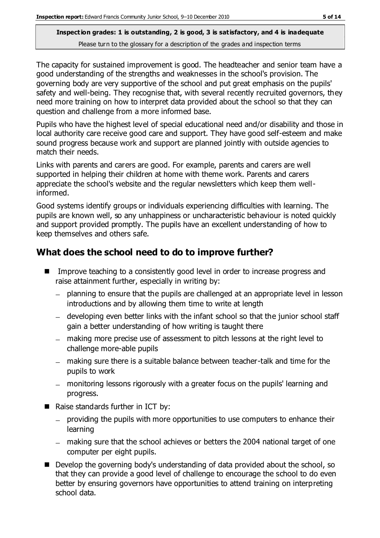The capacity for sustained improvement is good. The headteacher and senior team have a good understanding of the strengths and weaknesses in the school's provision. The governing body are very supportive of the school and put great emphasis on the pupils' safety and well-being. They recognise that, with several recently recruited governors, they need more training on how to interpret data provided about the school so that they can question and challenge from a more informed base.

Pupils who have the highest level of special educational need and/or disability and those in local authority care receive good care and support. They have good self-esteem and make sound progress because work and support are planned jointly with outside agencies to match their needs.

Links with parents and carers are good. For example, parents and carers are well supported in helping their children at home with theme work. Parents and carers appreciate the school's website and the regular newsletters which keep them wellinformed.

Good systems identify groups or individuals experiencing difficulties with learning. The pupils are known well, so any unhappiness or uncharacteristic behaviour is noted quickly and support provided promptly. The pupils have an excellent understanding of how to keep themselves and others safe.

# **What does the school need to do to improve further?**

- Improve teaching to a consistently good level in order to increase progress and raise attainment further, especially in writing by:
	- planning to ensure that the pupils are challenged at an appropriate level in lesson introductions and by allowing them time to write at length
	- developing even better links with the infant school so that the junior school staff gain a better understanding of how writing is taught there
	- making more precise use of assessment to pitch lessons at the right level to challenge more-able pupils
	- making sure there is a suitable balance between teacher-talk and time for the pupils to work
	- monitoring lessons rigorously with a greater focus on the pupils' learning and progress.
- Raise standards further in ICT by:
	- $-$  providing the pupils with more opportunities to use computers to enhance their learning
	- making sure that the school achieves or betters the 2004 national target of one computer per eight pupils.
- Develop the governing body's understanding of data provided about the school, so that they can provide a good level of challenge to encourage the school to do even better by ensuring governors have opportunities to attend training on interpreting school data.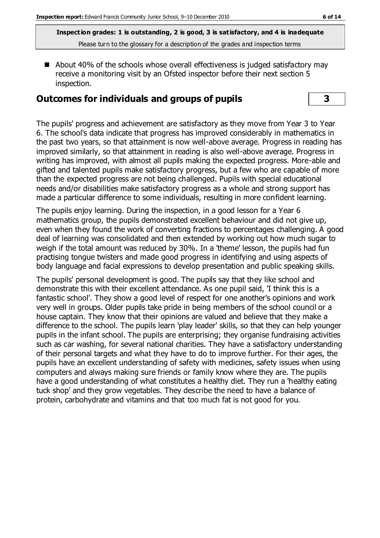■ About 40% of the schools whose overall effectiveness is judged satisfactory may receive a monitoring visit by an Ofsted inspector before their next section 5 inspection.

#### **Outcomes for individuals and groups of pupils 3**

The pupils' progress and achievement are satisfactory as they move from Year 3 to Year 6. The school's data indicate that progress has improved considerably in mathematics in the past two years, so that attainment is now well-above average. Progress in reading has improved similarly, so that attainment in reading is also well-above average. Progress in writing has improved, with almost all pupils making the expected progress. More-able and gifted and talented pupils make satisfactory progress, but a few who are capable of more than the expected progress are not being challenged. Pupils with special educational needs and/or disabilities make satisfactory progress as a whole and strong support has made a particular difference to some individuals, resulting in more confident learning.

The pupils enjoy learning. During the inspection, in a good lesson for a Year 6 mathematics group, the pupils demonstrated excellent behaviour and did not give up, even when they found the work of converting fractions to percentages challenging. A good deal of learning was consolidated and then extended by working out how much sugar to weigh if the total amount was reduced by 30%. In a 'theme' lesson, the pupils had fun practising tongue twisters and made good progress in identifying and using aspects of body language and facial expressions to develop presentation and public speaking skills.

The pupils' personal development is good. The pupils say that they like school and demonstrate this with their excellent attendance. As one pupil said, 'I think this is a fantastic school'. They show a good level of respect for one another's opinions and work very well in groups. Older pupils take pride in being members of the school council or a house captain. They know that their opinions are valued and believe that they make a difference to the school. The pupils learn 'play leader' skills, so that they can help younger pupils in the infant school. The pupils are enterprising; they organise fundraising activities such as car washing, for several national charities. They have a satisfactory understanding of their personal targets and what they have to do to improve further. For their ages, the pupils have an excellent understanding of safety with medicines, safety issues when using computers and always making sure friends or family know where they are. The pupils have a good understanding of what constitutes a healthy diet. They run a 'healthy eating tuck shop' and they grow vegetables. They describe the need to have a balance of protein, carbohydrate and vitamins and that too much fat is not good for you.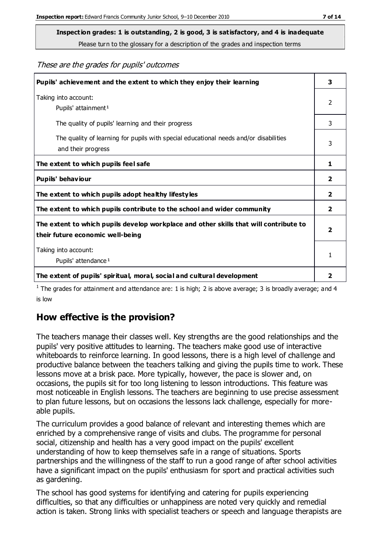**Inspection grades: 1 is outstanding, 2 is good, 3 is satisfactory, and 4 is inadequate**

Please turn to the glossary for a description of the grades and inspection terms

These are the grades for pupils' outcomes

| Pupils' achievement and the extent to which they enjoy their learning                                                     |   |
|---------------------------------------------------------------------------------------------------------------------------|---|
| Taking into account:<br>Pupils' attainment <sup>1</sup>                                                                   |   |
| The quality of pupils' learning and their progress                                                                        | 3 |
| The quality of learning for pupils with special educational needs and/or disabilities<br>and their progress               |   |
| The extent to which pupils feel safe                                                                                      | 1 |
| Pupils' behaviour                                                                                                         | 2 |
| The extent to which pupils adopt healthy lifestyles                                                                       |   |
| The extent to which pupils contribute to the school and wider community                                                   |   |
| The extent to which pupils develop workplace and other skills that will contribute to<br>their future economic well-being |   |
| Taking into account:<br>Pupils' attendance <sup>1</sup>                                                                   |   |
| The extent of pupils' spiritual, moral, social and cultural development                                                   | 2 |

<sup>1</sup> The grades for attainment and attendance are: 1 is high; 2 is above average; 3 is broadly average; and 4 is low

# **How effective is the provision?**

The teachers manage their classes well. Key strengths are the good relationships and the pupils' very positive attitudes to learning. The teachers make good use of interactive whiteboards to reinforce learning. In good lessons, there is a high level of challenge and productive balance between the teachers talking and giving the pupils time to work. These lessons move at a brisk pace. More typically, however, the pace is slower and, on occasions, the pupils sit for too long listening to lesson introductions. This feature was most noticeable in English lessons. The teachers are beginning to use precise assessment to plan future lessons, but on occasions the lessons lack challenge, especially for moreable pupils.

The curriculum provides a good balance of relevant and interesting themes which are enriched by a comprehensive range of visits and clubs. The programme for personal social, citizenship and health has a very good impact on the pupils' excellent understanding of how to keep themselves safe in a range of situations. Sports partnerships and the willingness of the staff to run a good range of after school activities have a significant impact on the pupils' enthusiasm for sport and practical activities such as gardening.

The school has good systems for identifying and catering for pupils experiencing difficulties, so that any difficulties or unhappiness are noted very quickly and remedial action is taken. Strong links with specialist teachers or speech and language therapists are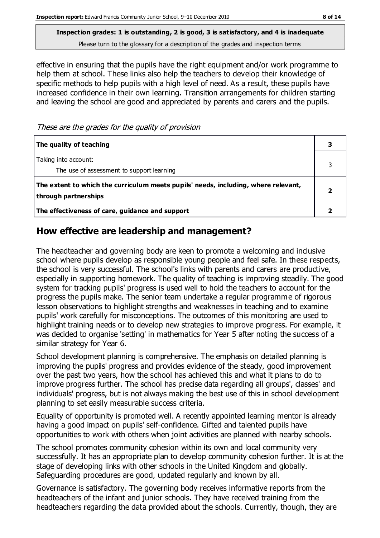**Inspection grades: 1 is outstanding, 2 is good, 3 is satisfactory, and 4 is inadequate**

Please turn to the glossary for a description of the grades and inspection terms

effective in ensuring that the pupils have the right equipment and/or work programme to help them at school. These links also help the teachers to develop their knowledge of specific methods to help pupils with a high level of need. As a result, these pupils have increased confidence in their own learning. Transition arrangements for children starting and leaving the school are good and appreciated by parents and carers and the pupils.

These are the grades for the quality of provision

| The quality of teaching                                                                                    |  |
|------------------------------------------------------------------------------------------------------------|--|
| Taking into account:<br>The use of assessment to support learning                                          |  |
| The extent to which the curriculum meets pupils' needs, including, where relevant,<br>through partnerships |  |
| The effectiveness of care, guidance and support                                                            |  |

## **How effective are leadership and management?**

The headteacher and governing body are keen to promote a welcoming and inclusive school where pupils develop as responsible young people and feel safe. In these respects, the school is very successful. The school's links with parents and carers are productive, especially in supporting homework. The quality of teaching is improving steadily. The good system for tracking pupils' progress is used well to hold the teachers to account for the progress the pupils make. The senior team undertake a regular programme of rigorous lesson observations to highlight strengths and weaknesses in teaching and to examine pupils' work carefully for misconceptions. The outcomes of this monitoring are used to highlight training needs or to develop new strategies to improve progress. For example, it was decided to organise 'setting' in mathematics for Year 5 after noting the success of a similar strategy for Year 6.

School development planning is comprehensive. The emphasis on detailed planning is improving the pupils' progress and provides evidence of the steady, good improvement over the past two years, how the school has achieved this and what it plans to do to improve progress further. The school has precise data regarding all groups', classes' and individuals' progress, but is not always making the best use of this in school development planning to set easily measurable success criteria.

Equality of opportunity is promoted well. A recently appointed learning mentor is already having a good impact on pupils' self-confidence. Gifted and talented pupils have opportunities to work with others when joint activities are planned with nearby schools.

The school promotes community cohesion within its own and local community very successfully. It has an appropriate plan to develop community cohesion further. It is at the stage of developing links with other schools in the United Kingdom and globally. Safeguarding procedures are good, updated regularly and known by all.

Governance is satisfactory. The governing body receives informative reports from the headteachers of the infant and junior schools. They have received training from the headteachers regarding the data provided about the schools. Currently, though, they are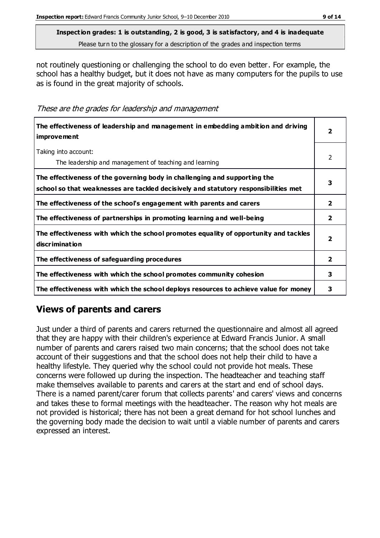not routinely questioning or challenging the school to do even better. For example, the school has a healthy budget, but it does not have as many computers for the pupils to use as is found in the great majority of schools.

These are the grades for leadership and management

| The effectiveness of leadership and management in embedding ambition and driving<br><i>improvement</i>                                                           |                         |
|------------------------------------------------------------------------------------------------------------------------------------------------------------------|-------------------------|
| Taking into account:<br>The leadership and management of teaching and learning                                                                                   | $\mathfrak{p}$          |
| The effectiveness of the governing body in challenging and supporting the<br>school so that weaknesses are tackled decisively and statutory responsibilities met | 3                       |
| The effectiveness of the school's engagement with parents and carers                                                                                             | $\mathbf{2}$            |
| The effectiveness of partnerships in promoting learning and well-being                                                                                           | $\overline{\mathbf{2}}$ |
| The effectiveness with which the school promotes equality of opportunity and tackles<br>discrimination                                                           | $\overline{\mathbf{2}}$ |
| The effectiveness of safeguarding procedures                                                                                                                     | $\overline{\mathbf{2}}$ |
| The effectiveness with which the school promotes community cohesion                                                                                              |                         |
| The effectiveness with which the school deploys resources to achieve value for money                                                                             |                         |

# **Views of parents and carers**

Just under a third of parents and carers returned the questionnaire and almost all agreed that they are happy with their children's experience at Edward Francis Junior. A small number of parents and carers raised two main concerns; that the school does not take account of their suggestions and that the school does not help their child to have a healthy lifestyle. They queried why the school could not provide hot meals. These concerns were followed up during the inspection. The headteacher and teaching staff make themselves available to parents and carers at the start and end of school days. There is a named parent/carer forum that collects parents' and carers' views and concerns and takes these to formal meetings with the headteacher. The reason why hot meals are not provided is historical; there has not been a great demand for hot school lunches and the governing body made the decision to wait until a viable number of parents and carers expressed an interest.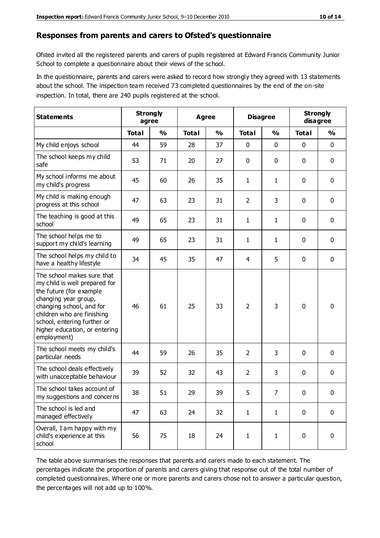#### **Responses from parents and carers to Ofsted's questionnaire**

Ofsted invited all the registered parents and carers of pupils registered at Edward Francis Community Junior School to complete a questionnaire about their views of the school.

In the questionnaire, parents and carers were asked to record how strongly they agreed with 13 statements about the school. The inspection team received 73 completed questionnaires by the end of the on-site inspection. In total, there are 240 pupils registered at the school.

| <b>Statements</b>                                                                                                                                                                                                                                       | <b>Strongly</b><br>agree |               | Agree        |               | <b>Disagree</b> |                | <b>Strongly</b><br>disagree |               |
|---------------------------------------------------------------------------------------------------------------------------------------------------------------------------------------------------------------------------------------------------------|--------------------------|---------------|--------------|---------------|-----------------|----------------|-----------------------------|---------------|
|                                                                                                                                                                                                                                                         | <b>Total</b>             | $\frac{0}{0}$ | <b>Total</b> | $\frac{0}{0}$ | <b>Total</b>    | $\frac{0}{0}$  | <b>Total</b>                | $\frac{1}{2}$ |
| My child enjoys school                                                                                                                                                                                                                                  | 44                       | 59            | 28           | 37            | 0               | 0              | $\mathbf 0$                 | $\mathbf 0$   |
| The school keeps my child<br>safe                                                                                                                                                                                                                       | 53                       | 71            | 20           | 27            | 0               | 0              | $\mathbf 0$                 | $\mathbf 0$   |
| My school informs me about<br>my child's progress                                                                                                                                                                                                       | 45                       | 60            | 26           | 35            | 1               | $\mathbf{1}$   | $\mathbf 0$                 | $\mathbf 0$   |
| My child is making enough<br>progress at this school                                                                                                                                                                                                    | 47                       | 63            | 23           | 31            | $\overline{2}$  | 3              | $\mathbf 0$                 | $\mathbf 0$   |
| The teaching is good at this<br>school                                                                                                                                                                                                                  | 49                       | 65            | 23           | 31            | 1               | $\mathbf{1}$   | 0                           | $\mathbf 0$   |
| The school helps me to<br>support my child's learning                                                                                                                                                                                                   | 49                       | 65            | 23           | 31            | 1               | $\mathbf{1}$   | $\mathbf 0$                 | $\mathbf 0$   |
| The school helps my child to<br>have a healthy lifestyle                                                                                                                                                                                                | 34                       | 45            | 35           | 47            | 4               | 5              | $\mathbf 0$                 | $\mathbf 0$   |
| The school makes sure that<br>my child is well prepared for<br>the future (for example<br>changing year group,<br>changing school, and for<br>children who are finishing<br>school, entering further or<br>higher education, or entering<br>employment) | 46                       | 61            | 25           | 33            | $\overline{2}$  | 3              | $\mathbf 0$                 | $\mathbf 0$   |
| The school meets my child's<br>particular needs                                                                                                                                                                                                         | 44                       | 59            | 26           | 35            | $\overline{2}$  | 3              | $\mathbf 0$                 | $\mathbf 0$   |
| The school deals effectively<br>with unacceptable behaviour                                                                                                                                                                                             | 39                       | 52            | 32           | 43            | $\overline{2}$  | 3              | 0                           | 0             |
| The school takes account of<br>my suggestions and concerns                                                                                                                                                                                              | 38                       | 51            | 29           | 39            | 5               | $\overline{7}$ | 0                           | $\mathbf{0}$  |
| The school is led and<br>managed effectively                                                                                                                                                                                                            | 47                       | 63            | 24           | 32            | $\mathbf{1}$    | $\mathbf{1}$   | $\mathbf 0$                 | $\mathbf 0$   |
| Overall, I am happy with my<br>child's experience at this<br>school                                                                                                                                                                                     | 56                       | 75            | 18           | 24            | $\mathbf{1}$    | $\mathbf{1}$   | $\mathbf 0$                 | $\mathbf 0$   |

The table above summarises the responses that parents and carers made to each statement. The percentages indicate the proportion of parents and carers giving that response out of the total number of completed questionnaires. Where one or more parents and carers chose not to answer a particular question, the percentages will not add up to 100%.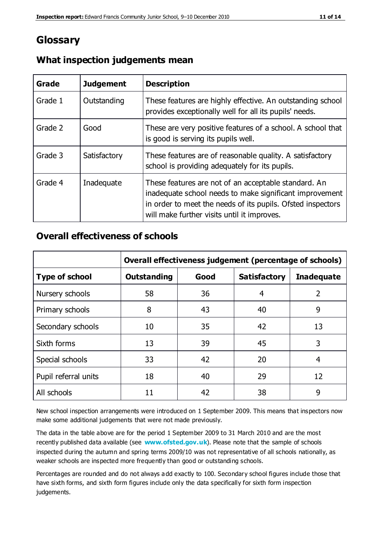# **Glossary**

| Grade   | <b>Judgement</b> | <b>Description</b>                                                                                                                                                                                                            |
|---------|------------------|-------------------------------------------------------------------------------------------------------------------------------------------------------------------------------------------------------------------------------|
| Grade 1 | Outstanding      | These features are highly effective. An outstanding school<br>provides exceptionally well for all its pupils' needs.                                                                                                          |
| Grade 2 | Good             | These are very positive features of a school. A school that<br>is good is serving its pupils well.                                                                                                                            |
| Grade 3 | Satisfactory     | These features are of reasonable quality. A satisfactory<br>school is providing adequately for its pupils.                                                                                                                    |
| Grade 4 | Inadequate       | These features are not of an acceptable standard. An<br>inadequate school needs to make significant improvement<br>in order to meet the needs of its pupils. Ofsted inspectors<br>will make further visits until it improves. |

#### **What inspection judgements mean**

### **Overall effectiveness of schools**

|                       | Overall effectiveness judgement (percentage of schools) |      |                     |                   |
|-----------------------|---------------------------------------------------------|------|---------------------|-------------------|
| <b>Type of school</b> | <b>Outstanding</b>                                      | Good | <b>Satisfactory</b> | <b>Inadequate</b> |
| Nursery schools       | 58                                                      | 36   | 4                   | 2                 |
| Primary schools       | 8                                                       | 43   | 40                  | 9                 |
| Secondary schools     | 10                                                      | 35   | 42                  | 13                |
| Sixth forms           | 13                                                      | 39   | 45                  | 3                 |
| Special schools       | 33                                                      | 42   | 20                  | 4                 |
| Pupil referral units  | 18                                                      | 40   | 29                  | 12                |
| All schools           | 11                                                      | 42   | 38                  | 9                 |

New school inspection arrangements were introduced on 1 September 2009. This means that inspectors now make some additional judgements that were not made previously.

The data in the table above are for the period 1 September 2009 to 31 March 2010 and are the most recently published data available (see **[www.ofsted.gov.uk](http://www.ofsted.gov.uk/)**). Please note that the sample of schools inspected during the autumn and spring terms 2009/10 was not representative of all schools nationally, as weaker schools are inspected more frequently than good or outstanding schools.

Percentages are rounded and do not always a dd exactly to 100. Secondary school figures include those that have sixth forms, and sixth form figures include only the data specifically for sixth form inspection judgements.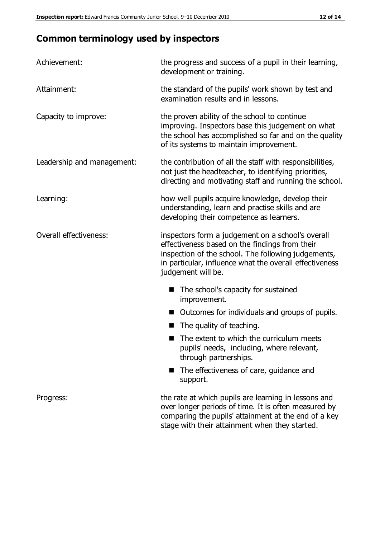# **Common terminology used by inspectors**

| Achievement:               | the progress and success of a pupil in their learning,<br>development or training.                                                                                                                                                          |  |  |
|----------------------------|---------------------------------------------------------------------------------------------------------------------------------------------------------------------------------------------------------------------------------------------|--|--|
| Attainment:                | the standard of the pupils' work shown by test and<br>examination results and in lessons.                                                                                                                                                   |  |  |
| Capacity to improve:       | the proven ability of the school to continue<br>improving. Inspectors base this judgement on what<br>the school has accomplished so far and on the quality<br>of its systems to maintain improvement.                                       |  |  |
| Leadership and management: | the contribution of all the staff with responsibilities,<br>not just the headteacher, to identifying priorities,<br>directing and motivating staff and running the school.                                                                  |  |  |
| Learning:                  | how well pupils acquire knowledge, develop their<br>understanding, learn and practise skills and are<br>developing their competence as learners.                                                                                            |  |  |
| Overall effectiveness:     | inspectors form a judgement on a school's overall<br>effectiveness based on the findings from their<br>inspection of the school. The following judgements,<br>in particular, influence what the overall effectiveness<br>judgement will be. |  |  |
|                            | The school's capacity for sustained<br>improvement.                                                                                                                                                                                         |  |  |
|                            | Outcomes for individuals and groups of pupils.                                                                                                                                                                                              |  |  |
|                            | The quality of teaching.                                                                                                                                                                                                                    |  |  |
|                            | The extent to which the curriculum meets<br>pupils' needs, including, where relevant,<br>through partnerships.                                                                                                                              |  |  |
|                            | The effectiveness of care, guidance and<br>support.                                                                                                                                                                                         |  |  |
| Progress:                  | the rate at which pupils are learning in lessons and<br>over longer periods of time. It is often measured by<br>comparing the pupils' attainment at the end of a key                                                                        |  |  |

stage with their attainment when they started.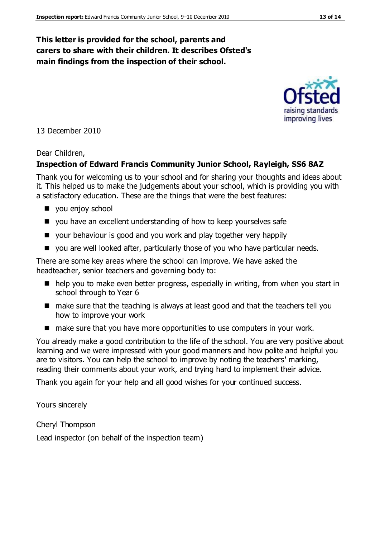### **This letter is provided for the school, parents and carers to share with their children. It describes Ofsted's main findings from the inspection of their school.**

13 December 2010

#### Dear Children,

#### **Inspection of Edward Francis Community Junior School, Rayleigh, SS6 8AZ**

Thank you for welcoming us to your school and for sharing your thoughts and ideas about it. This helped us to make the judgements about your school, which is providing you with a satisfactory education. These are the things that were the best features:

- vou enjoy school
- you have an excellent understanding of how to keep yourselves safe
- your behaviour is good and you work and play together very happily
- you are well looked after, particularly those of you who have particular needs.

There are some key areas where the school can improve. We have asked the headteacher, senior teachers and governing body to:

- help you to make even better progress, especially in writing, from when you start in school through to Year 6
- make sure that the teaching is always at least good and that the teachers tell you how to improve your work
- make sure that you have more opportunities to use computers in your work.

You already make a good contribution to the life of the school. You are very positive about learning and we were impressed with your good manners and how polite and helpful you are to visitors. You can help the school to improve by noting the teachers' marking, reading their comments about your work, and trying hard to implement their advice.

Thank you again for your help and all good wishes for your continued success.

Yours sincerely

Cheryl Thompson

Lead inspector (on behalf of the inspection team)